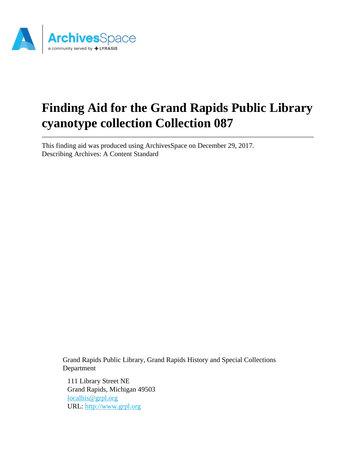

# **Finding Aid for the Grand Rapids Public Library cyanotype collection Collection 087**

This finding aid was produced using ArchivesSpace on December 29, 2017. Describing Archives: A Content Standard

Grand Rapids Public Library, Grand Rapids History and Special Collections Department

111 Library Street NE Grand Rapids, Michigan 49503 [localhis@grpl.org](mailto:localhis@grpl.org) URL:<http://www.grpl.org>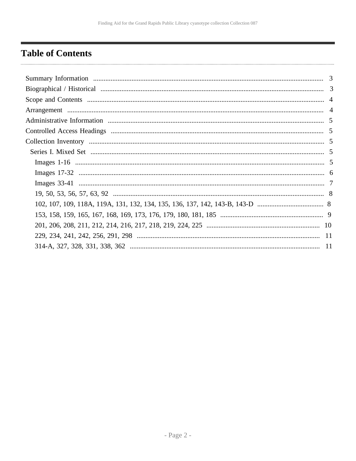# <span id="page-1-0"></span>**Table of Contents**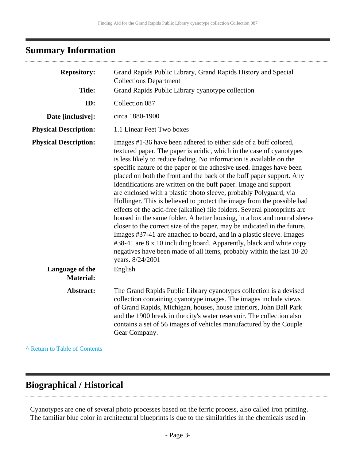# <span id="page-2-0"></span>**Summary Information**

| <b>Repository:</b>                              | Grand Rapids Public Library, Grand Rapids History and Special<br><b>Collections Department</b>                                                                                                                                                                                                                                                                                                                                                                                                                                                                                                                                                                                                                                                                                                                                                                                                                                                                                                                                                                                |
|-------------------------------------------------|-------------------------------------------------------------------------------------------------------------------------------------------------------------------------------------------------------------------------------------------------------------------------------------------------------------------------------------------------------------------------------------------------------------------------------------------------------------------------------------------------------------------------------------------------------------------------------------------------------------------------------------------------------------------------------------------------------------------------------------------------------------------------------------------------------------------------------------------------------------------------------------------------------------------------------------------------------------------------------------------------------------------------------------------------------------------------------|
| <b>Title:</b>                                   | Grand Rapids Public Library cyanotype collection                                                                                                                                                                                                                                                                                                                                                                                                                                                                                                                                                                                                                                                                                                                                                                                                                                                                                                                                                                                                                              |
| ID:                                             | Collection 087                                                                                                                                                                                                                                                                                                                                                                                                                                                                                                                                                                                                                                                                                                                                                                                                                                                                                                                                                                                                                                                                |
| Date [inclusive]:                               | circa 1880-1900                                                                                                                                                                                                                                                                                                                                                                                                                                                                                                                                                                                                                                                                                                                                                                                                                                                                                                                                                                                                                                                               |
| <b>Physical Description:</b>                    | 1.1 Linear Feet Two boxes                                                                                                                                                                                                                                                                                                                                                                                                                                                                                                                                                                                                                                                                                                                                                                                                                                                                                                                                                                                                                                                     |
| <b>Physical Description:</b><br>Language of the | Images #1-36 have been adhered to either side of a buff colored,<br>textured paper. The paper is acidic, which in the case of cyanotypes<br>is less likely to reduce fading. No information is available on the<br>specific nature of the paper or the adhesive used. Images have been<br>placed on both the front and the back of the buff paper support. Any<br>identifications are written on the buff paper. Image and support<br>are enclosed with a plastic photo sleeve, probably Polyguard, via<br>Hollinger. This is believed to protect the image from the possible bad<br>effects of the acid-free (alkaline) file folders. Several photoprints are<br>housed in the same folder. A better housing, in a box and neutral sleeve<br>closer to the correct size of the paper, may be indicated in the future.<br>Images #37-41 are attached to board, and in a plastic sleeve. Images<br>#38-41 are 8 x 10 including board. Apparently, black and white copy<br>negatives have been made of all items, probably within the last 10-20<br>years. 8/24/2001<br>English |
| <b>Material:</b>                                |                                                                                                                                                                                                                                                                                                                                                                                                                                                                                                                                                                                                                                                                                                                                                                                                                                                                                                                                                                                                                                                                               |
| Abstract:                                       | The Grand Rapids Public Library cyanotypes collection is a devised<br>collection containing cyanotype images. The images include views<br>of Grand Rapids, Michigan, houses, house interiors, John Ball Park<br>and the 1900 break in the city's water reservoir. The collection also<br>contains a set of 56 images of vehicles manufactured by the Couple<br>Gear Company.                                                                                                                                                                                                                                                                                                                                                                                                                                                                                                                                                                                                                                                                                                  |
|                                                 |                                                                                                                                                                                                                                                                                                                                                                                                                                                                                                                                                                                                                                                                                                                                                                                                                                                                                                                                                                                                                                                                               |

**^** [Return to Table of Contents](#page-1-0)

### <span id="page-2-1"></span>**Biographical / Historical**

Cyanotypes are one of several photo processes based on the ferric process, also called iron printing. The familiar blue color in architectural blueprints is due to the similarities in the chemicals used in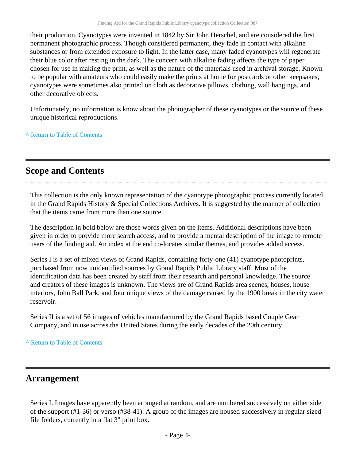their production. Cyanotypes were invented in 1842 by Sir John Herschel, and are considered the first permanent photographic process. Though considered permanent, they fade in contact with alkaline substances or from extended exposure to light. In the latter case, many faded cyanotypes will regenerate their blue color after resting in the dark. The concern with alkaline fading affects the type of paper chosen for use in making the print, as well as the nature of the materials used in archival storage. Known to be popular with amateurs who could easily make the prints at home for postcards or other keepsakes, cyanotypes were sometimes also printed on cloth as decorative pillows, clothing, wall hangings, and other decorative objects.

Unfortunately, no information is know about the photographer of these cyanotypes or the source of these unique historical reproductions.

**^** [Return to Table of Contents](#page-1-0)

### <span id="page-3-0"></span>**Scope and Contents**

This collection is the only known representation of the cyanotype photographic process currently located in the Grand Rapids History & Special Collections Archives. It is suggested by the manner of collection that the items came from more than one source.

The description in bold below are those words given on the items. Additional descriptions have been given in order to provide more search access, and to provide a mental description of the image to remote users of the finding aid. An index at the end co-locates similar themes, and provides added access.

Series I is a set of mixed views of Grand Rapids, containing forty-one (41) cyanotype photoprints, purchased from now unidentified sources by Grand Rapids Public Library staff. Most of the identification data has been created by staff from their research and personal knowledge. The source and creators of these images is unknown. The views are of Grand Rapids area scenes, houses, house interiors, John Ball Park, and four unique views of the damage caused by the 1900 break in the city water reservoir.

Series II is a set of 56 images of vehicles manufactured by the Grand Rapids based Couple Gear Company, and in use across the United States during the early decades of the 20th century.

#### **^** [Return to Table of Contents](#page-1-0)

#### <span id="page-3-1"></span>**Arrangement**

Series I. Images have apparently been arranged at random, and are numbered successively on either side of the support (#1-36) or verso (#38-41). A group of the images are housed successively in regular sized file folders, currently in a flat 3" print box.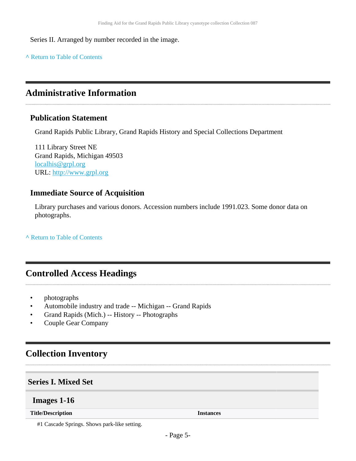Series II. Arranged by number recorded in the image.

**^** [Return to Table of Contents](#page-1-0)

### <span id="page-4-0"></span>**Administrative Information**

#### **Publication Statement**

Grand Rapids Public Library, Grand Rapids History and Special Collections Department

111 Library Street NE Grand Rapids, Michigan 49503 [localhis@grpl.org](mailto:localhis@grpl.org) URL:<http://www.grpl.org>

#### **Immediate Source of Acquisition**

Library purchases and various donors. Accession numbers include 1991.023. Some donor data on photographs.

**^** [Return to Table of Contents](#page-1-0)

### <span id="page-4-1"></span>**Controlled Access Headings**

- photographs
- Automobile industry and trade -- Michigan -- Grand Rapids
- Grand Rapids (Mich.) -- History -- Photographs
- Couple Gear Company

### <span id="page-4-2"></span>**Collection Inventory**

#### <span id="page-4-3"></span>**Series I. Mixed Set**

#### <span id="page-4-4"></span>**Images 1-16**

**Title/Description Instances**

#1 Cascade Springs. Shows park-like setting.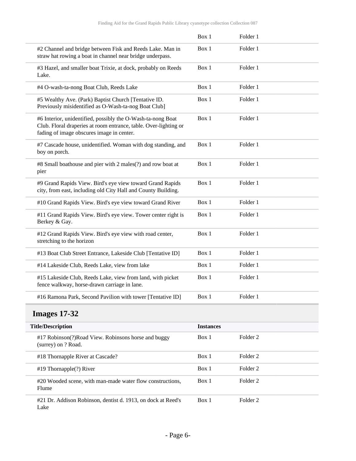|                                                                                                                                                                              | Box 1 | Folder 1 |  |
|------------------------------------------------------------------------------------------------------------------------------------------------------------------------------|-------|----------|--|
| #2 Channel and bridge between Fisk and Reeds Lake. Man in<br>straw hat rowing a boat in channel near bridge underpass.                                                       | Box 1 | Folder 1 |  |
| #3 Hazel, and smaller boat Trixie, at dock, probably on Reeds<br>Lake.                                                                                                       | Box 1 | Folder 1 |  |
| #4 O-wash-ta-nong Boat Club, Reeds Lake                                                                                                                                      | Box 1 | Folder 1 |  |
| #5 Wealthy Ave. (Park) Baptist Church [Tentative ID.<br>Previously misidentified as O-Wash-ta-nog Boat Club]                                                                 | Box 1 | Folder 1 |  |
| #6 Interior, unidentified, possibly the O-Wash-ta-nong Boat<br>Club. Floral draperies at room entrance, table. Over-lighting or<br>fading of image obscures image in center. | Box 1 | Folder 1 |  |
| #7 Cascade house, unidentified. Woman with dog standing, and<br>boy on porch.                                                                                                | Box 1 | Folder 1 |  |
| #8 Small boathouse and pier with 2 males(?) and row boat at<br>pier                                                                                                          | Box 1 | Folder 1 |  |
| #9 Grand Rapids View. Bird's eye view toward Grand Rapids<br>city, from east, including old City Hall and County Building.                                                   | Box 1 | Folder 1 |  |
| #10 Grand Rapids View. Bird's eye view toward Grand River                                                                                                                    | Box 1 | Folder 1 |  |
| #11 Grand Rapids View. Bird's eye view. Tower center right is<br>Berkey & Gay.                                                                                               | Box 1 | Folder 1 |  |
| #12 Grand Rapids View. Bird's eye view with road center,<br>stretching to the horizon                                                                                        | Box 1 | Folder 1 |  |
| #13 Boat Club Street Entrance, Lakeside Club [Tentative ID]                                                                                                                  | Box 1 | Folder 1 |  |
| #14 Lakeside Club, Reeds Lake, view from lake                                                                                                                                | Box 1 | Folder 1 |  |
| #15 Lakeside Club, Reeds Lake, view from land, with picket<br>fence walkway, horse-drawn carriage in lane.                                                                   | Box 1 | Folder 1 |  |
| #16 Ramona Park, Second Pavilion with tower [Tentative ID]                                                                                                                   | Box 1 | Folder 1 |  |
|                                                                                                                                                                              |       |          |  |

# <span id="page-5-0"></span>**Images 17-32**

| <b>Title/Description</b> |                                                                             | <b>Instances</b> |          |
|--------------------------|-----------------------------------------------------------------------------|------------------|----------|
|                          | #17 Robinson(?) Road View. Robinsons horse and buggy<br>(surrey) on ? Road. | Box 1            | Folder 2 |
|                          | #18 Thornapple River at Cascade?                                            | Box 1            | Folder 2 |
|                          | $#19$ Thornapple(?) River                                                   | Box 1            | Folder 2 |
|                          | #20 Wooded scene, with man-made water flow constructions,<br>Flume          | Box 1            | Folder 2 |
|                          | #21 Dr. Addison Robinson, dentist d. 1913, on dock at Reed's<br>Lake        | Box 1            | Folder 2 |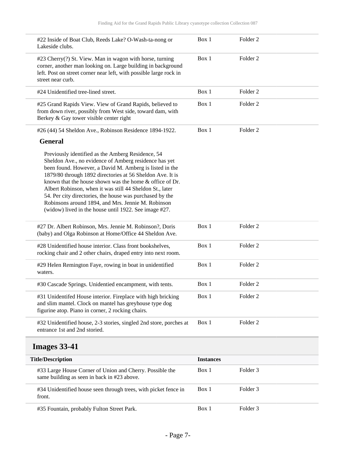<span id="page-6-0"></span>

| #22 Inside of Boat Club, Reeds Lake? O-Wash-ta-nong or<br>Lakeside clubs.                                                                                                                                                                                                                                                                                                                                                                                                                                                            | Box 1            | Folder <sub>2</sub> |
|--------------------------------------------------------------------------------------------------------------------------------------------------------------------------------------------------------------------------------------------------------------------------------------------------------------------------------------------------------------------------------------------------------------------------------------------------------------------------------------------------------------------------------------|------------------|---------------------|
| #23 Cherry(?) St. View. Man in wagon with horse, turning<br>corner, another man looking on. Large building in background<br>left. Post on street corner near left, with possible large rock in<br>street near curb.                                                                                                                                                                                                                                                                                                                  | Box 1            | Folder <sub>2</sub> |
| #24 Unidentified tree-lined street.                                                                                                                                                                                                                                                                                                                                                                                                                                                                                                  | Box 1            | Folder <sub>2</sub> |
| #25 Grand Rapids View. View of Grand Rapids, believed to<br>from down river, possibly from West side, toward dam, with<br>Berkey & Gay tower visible center right                                                                                                                                                                                                                                                                                                                                                                    | Box 1            | Folder <sub>2</sub> |
| #26 (44) 54 Sheldon Ave., Robinson Residence 1894-1922.                                                                                                                                                                                                                                                                                                                                                                                                                                                                              | Box 1            | Folder <sub>2</sub> |
| <b>General</b>                                                                                                                                                                                                                                                                                                                                                                                                                                                                                                                       |                  |                     |
| Previously identified as the Amberg Residence, 54<br>Sheldon Ave., no evidence of Amberg residence has yet<br>been found. However, a David M. Amberg is listed in the<br>1879/80 through 1892 directories at 56 Sheldon Ave. It is<br>known that the house shown was the home & office of Dr.<br>Albert Robinson, when it was still 44 Sheldon St., later<br>54. Per city directories, the house was purchased by the<br>Robinsons around 1894, and Mrs. Jennie M. Robinson<br>(widow) lived in the house until 1922. See image #27. |                  |                     |
| #27 Dr. Albert Robinson, Mrs. Jennie M. Robinson?, Doris<br>(baby) and Olga Robinson at Home/Office 44 Sheldon Ave.                                                                                                                                                                                                                                                                                                                                                                                                                  | Box 1            | Folder <sub>2</sub> |
| #28 Unidentified house interior. Class front bookshelves,<br>rocking chair and 2 other chairs, draped entry into next room.                                                                                                                                                                                                                                                                                                                                                                                                          | Box 1            | Folder <sub>2</sub> |
| #29 Helen Remington Faye, rowing in boat in unidentified<br>waters.                                                                                                                                                                                                                                                                                                                                                                                                                                                                  | Box 1            | Folder <sub>2</sub> |
| #30 Cascade Springs. Unidentied encampment, with tents.                                                                                                                                                                                                                                                                                                                                                                                                                                                                              | Box 1            | Folder <sub>2</sub> |
| #31 Unidentifed House interior. Fireplace with high bricking<br>and slim mantel. Clock on mantel has greyhouse type dog<br>figurine atop. Piano in corner, 2 rocking chairs.                                                                                                                                                                                                                                                                                                                                                         | Box 1            | Folder <sub>2</sub> |
| #32 Unidentified house, 2-3 stories, singled 2nd store, porches at<br>entrance 1st and 2nd storied.                                                                                                                                                                                                                                                                                                                                                                                                                                  | Box 1            | Folder <sub>2</sub> |
| <b>Images 33-41</b>                                                                                                                                                                                                                                                                                                                                                                                                                                                                                                                  |                  |                     |
| <b>Title/Description</b>                                                                                                                                                                                                                                                                                                                                                                                                                                                                                                             | <b>Instances</b> |                     |
| #33 Large House Corner of Union and Cherry. Possible the<br>same building as seen in back in #23 above.                                                                                                                                                                                                                                                                                                                                                                                                                              | Box 1            | Folder 3            |
| #34 Unidentified house seen through trees, with picket fence in<br>front.                                                                                                                                                                                                                                                                                                                                                                                                                                                            | Box 1            | Folder <sub>3</sub> |
| #35 Fountain, probably Fulton Street Park.                                                                                                                                                                                                                                                                                                                                                                                                                                                                                           | Box 1            | Folder 3            |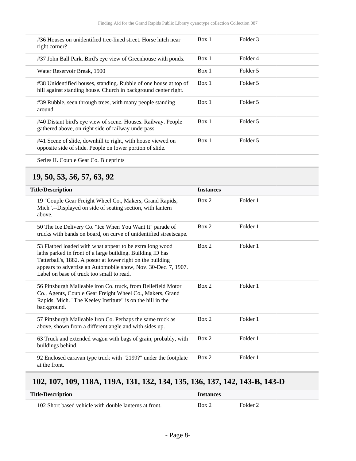| #36 Houses on unidentified tree-lined street. Horse hitch near<br>right corner?                                                     | Box 1 | Folder 3 |
|-------------------------------------------------------------------------------------------------------------------------------------|-------|----------|
| #37 John Ball Park. Bird's eye view of Greenhouse with ponds.                                                                       | Box 1 | Folder 4 |
| Water Reservoir Break, 1900                                                                                                         | Box 1 | Folder 5 |
| #38 Unidentified houses, standing. Rubble of one house at top of<br>hill against standing house. Church in background center right. | Box 1 | Folder 5 |
| #39 Rubble, seen through trees, with many people standing<br>around.                                                                | Box 1 | Folder 5 |
| #40 Distant bird's eye view of scene. Houses. Railway. People<br>gathered above, on right side of railway underpass                 | Box 1 | Folder 5 |
| #41 Scene of slide, downhill to right, with house viewed on<br>opposite side of slide. People on lower portion of slide.            | Box 1 | Folder 5 |

Series II. Couple Gear Co. Blueprints

#### <span id="page-7-0"></span>**19, 50, 53, 56, 57, 63, 92**

| <b>Title/Description</b>                                                                                                                                                                                                                                                                             | <b>Instances</b> |          |  |
|------------------------------------------------------------------------------------------------------------------------------------------------------------------------------------------------------------------------------------------------------------------------------------------------------|------------------|----------|--|
| 19 "Couple Gear Freight Wheel Co., Makers, Grand Rapids,<br>Mich".--Displayed on side of seating section, with lantern<br>above.                                                                                                                                                                     | Box 2            | Folder 1 |  |
| 50 The Ice Delivery Co. "Ice When You Want It" parade of<br>trucks with bands on board, on curve of unidentified streetscape.                                                                                                                                                                        | Box 2            | Folder 1 |  |
| 53 Flatbed loaded with what appear to be extra long wood<br>laths parked in front of a large building. Building ID has<br>Tatterball's, 1882. A poster at lower right on the building<br>appears to advertise an Automobile show, Nov. 30-Dec. 7, 1907.<br>Label on base of truck too small to read. | Box 2            | Folder 1 |  |
| 56 Pittsburgh Malleable iron Co. truck, from Bellefield Motor<br>Co., Agents, Couple Gear Freight Wheel Co., Makers, Grand<br>Rapids, Mich. "The Keeley Institute" is on the hill in the<br>background.                                                                                              | Box 2            | Folder 1 |  |
| 57 Pittsburgh Malleable Iron Co. Perhaps the same truck as<br>above, shown from a different angle and with sides up.                                                                                                                                                                                 | Box 2            | Folder 1 |  |
| 63 Truck and extended wagon with bags of grain, probably, with<br>buildings behind.                                                                                                                                                                                                                  | Box 2            | Folder 1 |  |
| 92 Enclosed caravan type truck with "2199?" under the footplate<br>at the front.                                                                                                                                                                                                                     | Box 2            | Folder 1 |  |

### <span id="page-7-1"></span>**102, 107, 109, 118A, 119A, 131, 132, 134, 135, 136, 137, 142, 143-B, 143-D**

| <b>Title/Description</b>                               | <i><u><b>Instances</b></u></i> |                     |  |
|--------------------------------------------------------|--------------------------------|---------------------|--|
| 102 Short based vehicle with double lanterns at front. | Box 2                          | Folder <sub>2</sub> |  |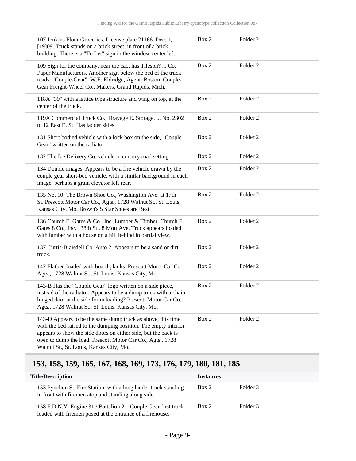| 107 Jenkins Flour Groceries. License plate 21166. Dec. 1,<br>[19]09. Truck stands on a brick street, in front of a brick<br>building. There is a "To Let" sign in the window center left.                                                                                                                 | Box 2 | Folder 2            |
|-----------------------------------------------------------------------------------------------------------------------------------------------------------------------------------------------------------------------------------------------------------------------------------------------------------|-------|---------------------|
| 109 Sign for the company, near the cab, has Tileson?  Co.<br>Paper Manufacturers. Another sign below the bed of the truck<br>reads: "Couple-Gear", W.E. Eldridge, Agent. Boston. Couple-<br>Gear Freight-Wheel Co., Makers, Grand Rapids, Mich.                                                           | Box 2 | Folder 2            |
| 118A "39" with a lattice type structure and wing on top, at the<br>center of the truck.                                                                                                                                                                                                                   | Box 2 | Folder <sub>2</sub> |
| 119A Commercial Truck Co., Drayage E. Storage.  No. 2302<br>to 12 East E. St. Has ladder sides                                                                                                                                                                                                            | Box 2 | Folder 2            |
| 131 Short bodied vehicle with a lock box on the side, "Couple<br>Gear" written on the radiator.                                                                                                                                                                                                           | Box 2 | Folder <sub>2</sub> |
| 132 The Ice Delivery Co. vehicle in country road setting.                                                                                                                                                                                                                                                 | Box 2 | Folder 2            |
| 134 Double images. Appears to be a fire vehicle drawn by the<br>couple gear short-bed vehicle, with a similar background in each<br>image, perhaps a grain elevator left rear.                                                                                                                            | Box 2 | Folder <sub>2</sub> |
| 135 No. 10. The Brown Shoe Co., Washington Ave. at 17th<br>St. Prescott Motor Car Co., Agts., 1728 Walnut St., St. Louis,<br>Kansas City, Mo. Brown's 5 Star Shoes are Best                                                                                                                               | Box 2 | Folder 2            |
| 136 Church E. Gates & Co., Inc. Lumber & Timber. Church E.<br>Gates 8 Co., Inc. 138th St., 8 Mott Ave. Truck appears loaded<br>with lumber with a house on a hill behind in partial view.                                                                                                                 | Box 2 | Folder <sub>2</sub> |
| 137 Curtis-Blaisdell Co. Auto 2. Appears to be a sand or dirt<br>truck.                                                                                                                                                                                                                                   | Box 2 | Folder 2            |
| 142 Flatbed loaded with board planks. Prescott Motor Car Co.,<br>Agts., 1728 Walnut St., St. Louis, Kansas City, Mo.                                                                                                                                                                                      | Box 2 | Folder <sub>2</sub> |
| 143-B Has the "Couple Gear" logo written on a side piece,<br>instead of the radiator. Appears to be a dump truck with a chain<br>hinged door at the side for unloading? Prescott Motor Car Co.,<br>Agts., 1728 Walnut St., St. Louis, Kansas City, Mo.                                                    | Box 2 | Folder <sub>2</sub> |
| 143-D Appears to be the same dump truck as above, this time<br>with the bed raised to the dumping position. The empty interior<br>appears to show the side doors on either side, but the back is<br>open to dump the load. Prescott Motor Car Co., Agts., 1728<br>Walnut St., St. Louis, Kansas City, Mo. | Box 2 | Folder 2            |

# <span id="page-8-0"></span>**153, 158, 159, 165, 167, 168, 169, 173, 176, 179, 180, 181, 185**

| <b>Title/Description</b>                                                                                                    | <b>Instances</b> |          |
|-----------------------------------------------------------------------------------------------------------------------------|------------------|----------|
| 153 Pynchon St. Fire Station, with a long ladder truck standing<br>in front with firemen atop and standing along side.      | Box 2            | Folder 3 |
| 158 F.D.N.Y. Engine 31 / Battalion 21. Couple Gear first truck<br>loaded with firemen posed at the entrance of a firehouse. | Box 2            | Folder 3 |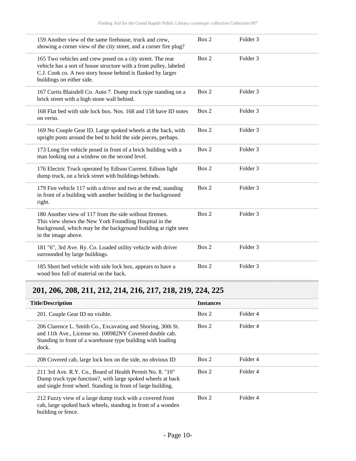| 159 Another view of the same firehouse, truck and crew,<br>showing a corner view of the city street, and a corner fire plug?                                                                                                 | Box 2 | Folder <sub>3</sub> |
|------------------------------------------------------------------------------------------------------------------------------------------------------------------------------------------------------------------------------|-------|---------------------|
| 165 Two vehicles and crew posed on a city street. The rear<br>vehicle has a sort of house structure with a front pulley, labeled<br>C.J. Cook co. A two story house behind is flanked by larger<br>buildings on either side. | Box 2 | Folder <sub>3</sub> |
| 167 Curtis Blaisdell Co. Auto 7. Dump truck type standing on a<br>brick street with a high stone wall behind.                                                                                                                | Box 2 | Folder <sub>3</sub> |
| 168 Flat bed with side lock box. Nos. 168 and 158 have ID notes<br>on verso.                                                                                                                                                 | Box 2 | Folder <sub>3</sub> |
| 169 No Couple Gear ID. Large spoked wheels at the back, with<br>upright posts around the bed to hold the side pieces, perhaps.                                                                                               | Box 2 | Folder <sub>3</sub> |
| 173 Long fire vehicle posed in front of a brick building with a<br>man looking out a window on the second level.                                                                                                             | Box 2 | Folder <sub>3</sub> |
| 176 Electric Truck operated by Edison Current. Edison light<br>dump truck, on a brick street with buildings behinds.                                                                                                         | Box 2 | Folder 3            |
| 179 Fire vehicle 117 with a driver and two at the end, standing<br>in front of a building with another building in the background<br>right.                                                                                  | Box 2 | Folder <sub>3</sub> |
| 180 Another view of 117 from the side without firemen.<br>This view shows the New York Foundling Hospital in the<br>background, which may be the background building at right seen<br>in the image above.                    | Box 2 | Folder <sub>3</sub> |
| 181 "6", 3rd Ave. Ry. Co. Loaded utility vehicle with driver<br>surrounded by large buildings.                                                                                                                               | Box 2 | Folder <sub>3</sub> |
| 185 Short bed vehicle with side lock box, appears to have a<br>wood box full of material on the back.                                                                                                                        | Box 2 | Folder <sub>3</sub> |

# <span id="page-9-0"></span>**201, 206, 208, 211, 212, 214, 216, 217, 218, 219, 224, 225**

| <b>Title/Description</b>                                                                                                                                                                       | <b>Instances</b> |          |
|------------------------------------------------------------------------------------------------------------------------------------------------------------------------------------------------|------------------|----------|
|                                                                                                                                                                                                |                  |          |
| 201. Couple Gear ID no visible.                                                                                                                                                                | Box 2            | Folder 4 |
| 206 Clarence L. Smith Co., Excavating and Shoring, 30th St.<br>and 11th Ave., License no. 100982NY Covered double cab.<br>Standing in front of a warehouse type building with loading<br>dock. | Box 2            | Folder 4 |
| 208 Covered cab, large lock box on the side, no obvious ID                                                                                                                                     | Box 2            | Folder 4 |
| 211 3rd Ave. R.Y. Co., Board of Health Permit No. 8. "10"<br>Dump truck type function?, with large spoked wheels at back<br>and single front wheel. Standing in front of large building.       | Box 2            | Folder 4 |
| 212 Fuzzy view of a large dump truck with a covered front<br>cab, large spoked back wheels, standing in front of a wooden<br>building or fence.                                                | Box 2            | Folder 4 |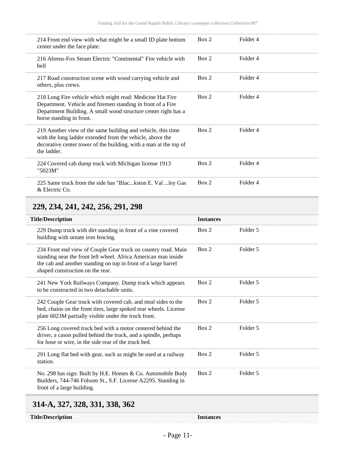| 214 Front end view with what might be a small ID plate bottom<br>center under the face plate.                                                                                                                          | Box 2 | Folder 4 |
|------------------------------------------------------------------------------------------------------------------------------------------------------------------------------------------------------------------------|-------|----------|
| 216 Ahrens-Fox Steam Electric "Continental" Fire vehicle with<br>bell                                                                                                                                                  | Box 2 | Folder 4 |
| 217 Road construction scene with wood carrying vehicle and<br>others, plus crews.                                                                                                                                      | Box 2 | Folder 4 |
| 218 Long Fire vehicle which might read: Medicine Hat Fire<br>Department. Vehicle and firemen standing in front of a Fire<br>Department Building. A small wood structure center right has a<br>horse standing in front. | Box 2 | Folder 4 |
| 219 Another view of the same building and vehicle, this time<br>with the long ladder extended from the vehicle, above the<br>decorative center tower of the building, with a man at the top of<br>the ladder.          | Box 2 | Folder 4 |
| 224 Covered cab dump truck with Michigan license 1913<br>"5023M"                                                                                                                                                       | Box 2 | Folder 4 |
| 225 Same truck from the side has "Blackston E. Val ley Gas<br>& Electric Co.                                                                                                                                           | Box 2 | Folder 4 |

## <span id="page-10-0"></span>**229, 234, 241, 242, 256, 291, 298**

| <b>Title/Description</b>                                                                                                                                                                                                              | <b>Instances</b> |          |
|---------------------------------------------------------------------------------------------------------------------------------------------------------------------------------------------------------------------------------------|------------------|----------|
| 229 Dump truck with dirt standing in front of a vine covered<br>building with ornate iron fencing.                                                                                                                                    | Box 2            | Folder 5 |
| 234 Front end view of Couple Gear truck on country road. Main<br>standing near the front left wheel. Africa American man inside<br>the cab and another standing on top in front of a large barrel<br>shaped construction on the rear. | Box 2            | Folder 5 |
| 241 New York Railways Company. Dump truck which appears<br>to be constructed in two detachable units.                                                                                                                                 | Box 2            | Folder 5 |
| 242 Couple Gear truck with covered cab, and steal sides to the<br>bed, chains on the front tires, large spoked rear wheels. License<br>plate 6023M partially visible under the truck front.                                           | Box 2            | Folder 5 |
| 256 Long covered truck bed with a motor centered behind the<br>driver, a cason pulled behind the truck, and a spindle, perhaps<br>for hose or wire, in the side rear of the truck bed.                                                | Box 2            | Folder 5 |
| 291 Long flat bed with gear, such as might be used at a railway<br>station.                                                                                                                                                           | Box 2            | Folder 5 |
| No. 298 has sign: Built by H.E. Homes & Co. Automobile Body<br>Builders, 744-746 Folsom St., S.F. License A2295. Standing in<br>front of a large building.                                                                            | Box 2            | Folder 5 |

# <span id="page-10-1"></span>**314-A, 327, 328, 331, 338, 362**

| <b>Title/Description</b> |  |
|--------------------------|--|
|                          |  |

Instances